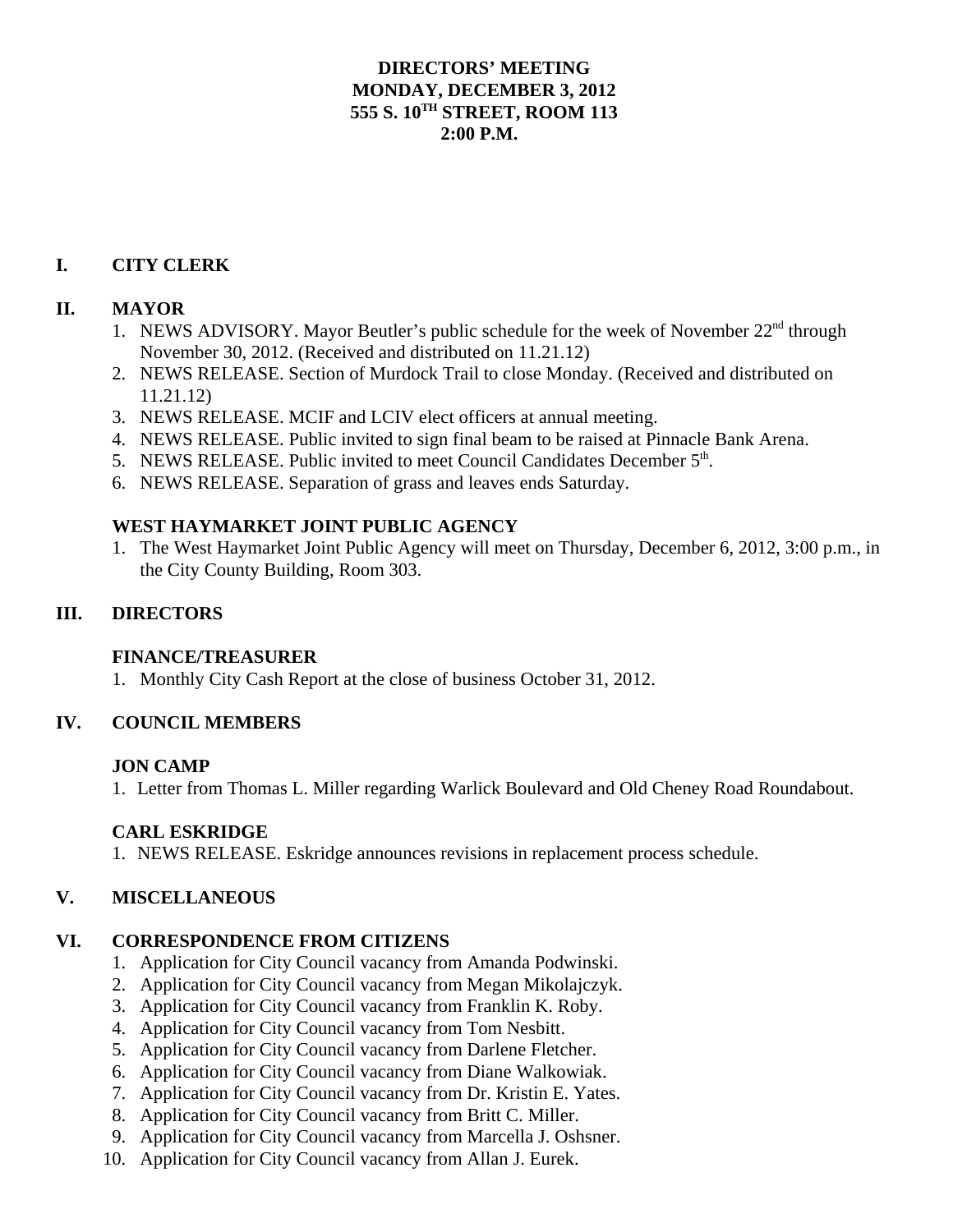### **DIRECTORS' MEETING MONDAY, DECEMBER 3, 2012 555 S. 10TH STREET, ROOM 113 2:00 P.M.**

# **I. CITY CLERK**

# **II. MAYOR**

- 1. NEWS ADVISORY. Mayor Beutler's public schedule for the week of November 22<sup>nd</sup> through November 30, 2012. (Received and distributed on 11.21.12)
- 2. NEWS RELEASE. Section of Murdock Trail to close Monday. (Received and distributed on 11.21.12)
- 3. NEWS RELEASE. MCIF and LCIV elect officers at annual meeting.
- 4. NEWS RELEASE. Public invited to sign final beam to be raised at Pinnacle Bank Arena.
- 5. NEWS RELEASE. Public invited to meet Council Candidates December  $5<sup>th</sup>$ .
- 6. NEWS RELEASE. Separation of grass and leaves ends Saturday.

### **WEST HAYMARKET JOINT PUBLIC AGENCY**

1. The West Haymarket Joint Public Agency will meet on Thursday, December 6, 2012, 3:00 p.m., in the City County Building, Room 303.

# **III. DIRECTORS**

### **FINANCE/TREASURER**

1. Monthly City Cash Report at the close of business October 31, 2012.

### **IV. COUNCIL MEMBERS**

### **JON CAMP**

1. Letter from Thomas L. Miller regarding Warlick Boulevard and Old Cheney Road Roundabout.

### **CARL ESKRIDGE**

1. NEWS RELEASE. Eskridge announces revisions in replacement process schedule.

### **V. MISCELLANEOUS**

### **VI. CORRESPONDENCE FROM CITIZENS**

- 1. Application for City Council vacancy from Amanda Podwinski.
- 2. Application for City Council vacancy from Megan Mikolajczyk.
- 3. Application for City Council vacancy from Franklin K. Roby.
- 4. Application for City Council vacancy from Tom Nesbitt.
- 5. Application for City Council vacancy from Darlene Fletcher.
- 6. Application for City Council vacancy from Diane Walkowiak.
- 7. Application for City Council vacancy from Dr. Kristin E. Yates.
- 8. Application for City Council vacancy from Britt C. Miller.
- 9. Application for City Council vacancy from Marcella J. Oshsner.
- 10. Application for City Council vacancy from Allan J. Eurek.